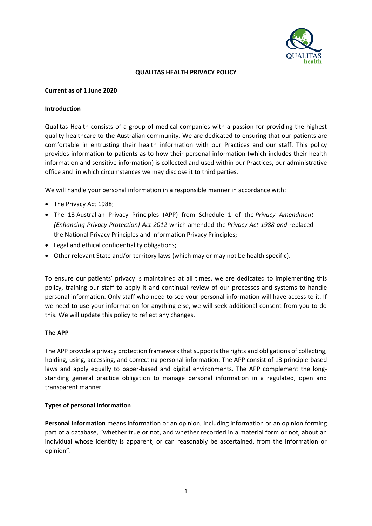

### **QUALITAS HEALTH PRIVACY POLICY**

### **Current as of 1 June 2020**

### **Introduction**

Qualitas Health consists of a group of medical companies with a passion for providing the highest quality healthcare to the Australian community. We are dedicated to ensuring that our patients are comfortable in entrusting their health information with our Practices and our staff. This policy provides information to patients as to how their personal information (which includes their health information and sensitive information) is collected and used within our Practices, our administrative office and in which circumstances we may disclose it to third parties.

We will handle your personal information in a responsible manner in accordance with:

- The Privacy Act 1988;
- The 13 Australian Privacy Principles (APP) from Schedule 1 of the *Privacy Amendment (Enhancing Privacy Protection) Act 2012* which amended the *Privacy Act 1988 and* replaced the National Privacy Principles and Information Privacy Principles;
- Legal and ethical confidentiality obligations;
- Other relevant State and/or territory laws (which may or may not be health specific).

To ensure our patients' privacy is maintained at all times, we are dedicated to implementing this policy, training our staff to apply it and continual review of our processes and systems to handle personal information. Only staff who need to see your personal information will have access to it. If we need to use your information for anything else, we will seek additional consent from you to do this. We will update this policy to reflect any changes.

## **The APP**

The APP provide a privacy protection framework that supports the rights and obligations of collecting, holding, using, accessing, and correcting personal information. The APP consist of 13 principle-based laws and apply equally to paper-based and digital environments. The APP complement the longstanding general practice obligation to manage personal information in a regulated, open and transparent manner.

## **Types of personal information**

**Personal information** means information or an opinion, including information or an opinion forming part of a database, "whether true or not, and whether recorded in a material form or not, about an individual whose identity is apparent, or can reasonably be ascertained, from the information or opinion".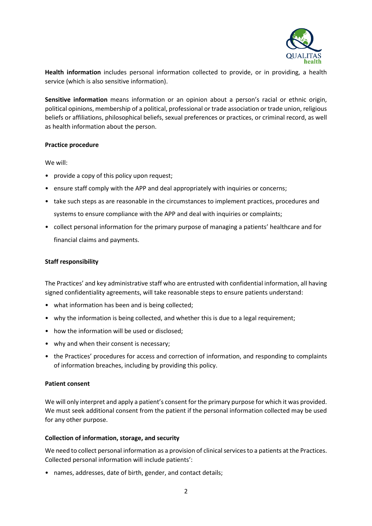

**Health information** includes personal information collected to provide, or in providing, a health service (which is also sensitive information).

**Sensitive information** means information or an opinion about a person's racial or ethnic origin, political opinions, membership of a political, professional or trade association or trade union, religious beliefs or affiliations, philosophical beliefs, sexual preferences or practices, or criminal record, as well as health information about the person.

### **Practice procedure**

We will:

- provide a copy of this policy upon request;
- ensure staff comply with the APP and deal appropriately with inquiries or concerns;
- take such steps as are reasonable in the circumstances to implement practices, procedures and systems to ensure compliance with the APP and deal with inquiries or complaints;
- collect personal information for the primary purpose of managing a patients' healthcare and for financial claims and payments.

### **Staff responsibility**

The Practices' and key administrative staff who are entrusted with confidential information, all having signed confidentiality agreements, will take reasonable steps to ensure patients understand:

- what information has been and is being collected;
- why the information is being collected, and whether this is due to a legal requirement;
- how the information will be used or disclosed;
- why and when their consent is necessary;
- the Practices' procedures for access and correction of information, and responding to complaints of information breaches, including by providing this policy.

#### **Patient consent**

We will only interpret and apply a patient's consent for the primary purpose for which it was provided. We must seek additional consent from the patient if the personal information collected may be used for any other purpose.

#### **Collection of information, storage, and security**

We need to collect personal information as a provision of clinical services to a patients at the Practices. Collected personal information will include patients':

• names, addresses, date of birth, gender, and contact details;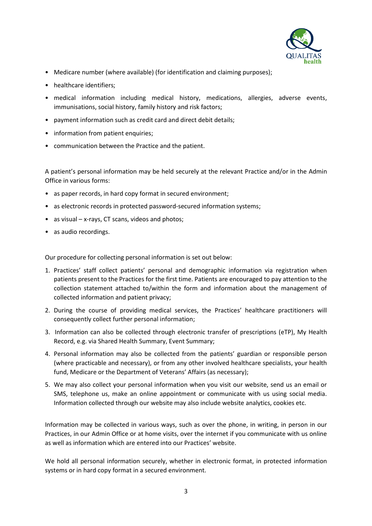

- Medicare number (where available) (for identification and claiming purposes);
- healthcare identifiers:
- medical information including medical history, medications, allergies, adverse events, immunisations, social history, family history and risk factors;
- payment information such as credit card and direct debit details;
- information from patient enquiries;
- communication between the Practice and the patient.

A patient's personal information may be held securely at the relevant Practice and/or in the Admin Office in various forms:

- as paper records, in hard copy format in secured environment;
- as electronic records in protected password-secured information systems;
- as visual x-rays, CT scans, videos and photos;
- as audio recordings.

Our procedure for collecting personal information is set out below:

- 1. Practices' staff collect patients' personal and demographic information via registration when patients present to the Practices for the first time. Patients are encouraged to pay attention to the collection statement attached to/within the form and information about the management of collected information and patient privacy;
- 2. During the course of providing medical services, the Practices' healthcare practitioners will consequently collect further personal information;
- 3. Information can also be collected through electronic transfer of prescriptions (eTP), My Health Record, e.g. via Shared Health Summary, Event Summary;
- 4. Personal information may also be collected from the patients' guardian or responsible person (where practicable and necessary), or from any other involved healthcare specialists, your health fund, Medicare or the Department of Veterans' Affairs (as necessary);
- 5. We may also collect your personal information when you visit our website, send us an email or SMS, telephone us, make an online appointment or communicate with us using social media. Information collected through our website may also include website analytics, cookies etc.

Information may be collected in various ways, such as over the phone, in writing, in person in our Practices, in our Admin Office or at home visits, over the internet if you communicate with us online as well as information which are entered into our Practices' website.

We hold all personal information securely, whether in electronic format, in protected information systems or in hard copy format in a secured environment.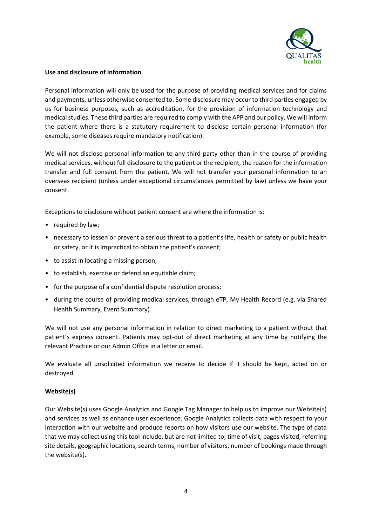

# **Use and disclosure of information**

Personal information will only be used for the purpose of providing medical services and for claims and payments, unless otherwise consented to. Some disclosure may occur to third parties engaged by us for business purposes, such as accreditation, for the provision of information technology and medical studies. These third parties are required to comply with the APP and our policy. We will inform the patient where there is a statutory requirement to disclose certain personal information (for example, some diseases require mandatory notification).

We will not disclose personal information to any third party other than in the course of providing medical services, without full disclosure to the patient or the recipient, the reason for the information transfer and full consent from the patient. We will not transfer your personal information to an overseas recipient (unless under exceptional circumstances permitted by law) unless we have your consent.

Exceptions to disclosure without patient consent are where the information is:

- required by law;
- necessary to lessen or prevent a serious threat to a patient's life, health or safety or public health or safety, or it is impractical to obtain the patient's consent;
- to assist in locating a missing person;
- to establish, exercise or defend an equitable claim;
- for the purpose of a confidential dispute resolution process;
- during the course of providing medical services, through eTP, My Health Record (e.g. via Shared Health Summary, Event Summary).

We will not use any personal information in relation to direct marketing to a patient without that patient's express consent. Patients may opt-out of direct marketing at any time by notifying the relevant Practice or our Admin Office in a letter or email.

We evaluate all unsolicited information we receive to decide if it should be kept, acted on or destroyed.

# **Website(s)**

Our Website(s) uses Google Analytics and Google Tag Manager to help us to improve our Website(s) and services as well as enhance user experience. Google Analytics collects data with respect to your interaction with our website and produce reports on how visitors use our website. The type of data that we may collect using this tool include, but are not limited to, time of visit, pages visited, referring site details, geographic locations, search terms, number of visitors, number of bookings made through the website(s).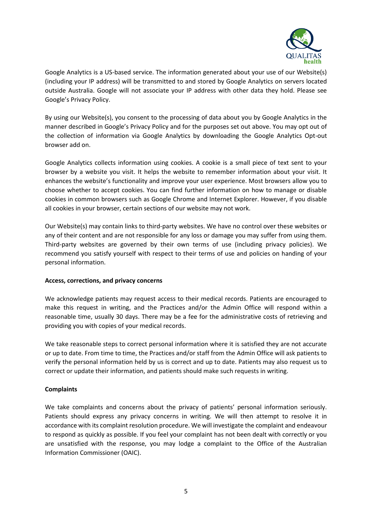

Google Analytics is a US-based service. The information generated about your use of our Website(s) (including your IP address) will be transmitted to and stored by Google Analytics on servers located outside Australia. Google will not associate your IP address with other data they hold. Please see Google's Privacy Policy.

By using our Website(s), you consent to the processing of data about you by Google Analytics in the manner described in Google's Privacy Policy and for the purposes set out above. You may opt out of the collection of information via Google Analytics by downloading the Google Analytics Opt-out browser add on.

Google Analytics collects information using cookies. A cookie is a small piece of text sent to your browser by a website you visit. It helps the website to remember information about your visit. It enhances the website's functionality and improve your user experience. Most browsers allow you to choose whether to accept cookies. You can find further information on how to manage or disable cookies in common browsers such as Google Chrome and Internet Explorer. However, if you disable all cookies in your browser, certain sections of our website may not work.

Our Website(s) may contain links to third-party websites. We have no control over these websites or any of their content and are not responsible for any loss or damage you may suffer from using them. Third-party websites are governed by their own terms of use (including privacy policies). We recommend you satisfy yourself with respect to their terms of use and policies on handing of your personal information.

## **Access, corrections, and privacy concerns**

We acknowledge patients may request access to their medical records. Patients are encouraged to make this request in writing, and the Practices and/or the Admin Office will respond within a reasonable time, usually 30 days. There may be a fee for the administrative costs of retrieving and providing you with copies of your medical records.

We take reasonable steps to correct personal information where it is satisfied they are not accurate or up to date. From time to time, the Practices and/or staff from the Admin Office will ask patients to verify the personal information held by us is correct and up to date. Patients may also request us to correct or update their information, and patients should make such requests in writing.

# **Complaints**

We take complaints and concerns about the privacy of patients' personal information seriously. Patients should express any privacy concerns in writing. We will then attempt to resolve it in accordance with its complaint resolution procedure. We will investigate the complaint and endeavour to respond as quickly as possible. If you feel your complaint has not been dealt with correctly or you are unsatisfied with the response, you may lodge a complaint to the Office of the Australian Information Commissioner (OAIC).